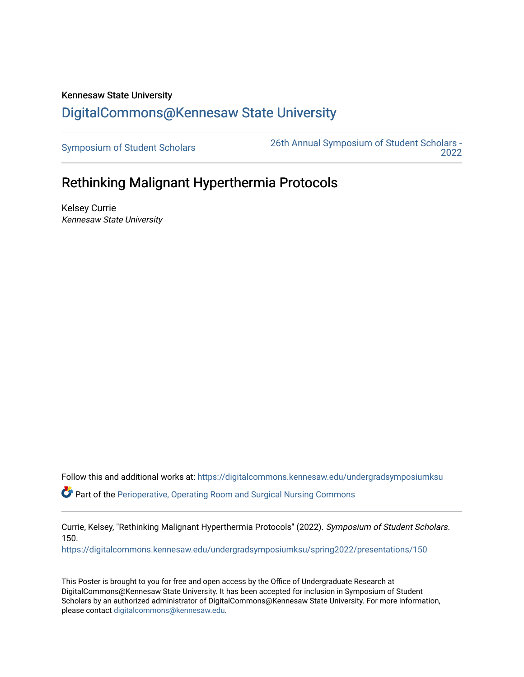## Kennesaw State University [DigitalCommons@Kennesaw State University](https://digitalcommons.kennesaw.edu/)

[Symposium of Student Scholars](https://digitalcommons.kennesaw.edu/undergradsymposiumksu) [26th Annual Symposium of Student Scholars -](https://digitalcommons.kennesaw.edu/undergradsymposiumksu/spring2022)  [2022](https://digitalcommons.kennesaw.edu/undergradsymposiumksu/spring2022) 

## Rethinking Malignant Hyperthermia Protocols

Kelsey Currie Kennesaw State University

Follow this and additional works at: [https://digitalcommons.kennesaw.edu/undergradsymposiumksu](https://digitalcommons.kennesaw.edu/undergradsymposiumksu?utm_source=digitalcommons.kennesaw.edu%2Fundergradsymposiumksu%2Fspring2022%2Fpresentations%2F150&utm_medium=PDF&utm_campaign=PDFCoverPages) 

 $\bullet$  Part of the [Perioperative, Operating Room and Surgical Nursing Commons](http://network.bepress.com/hgg/discipline/726?utm_source=digitalcommons.kennesaw.edu%2Fundergradsymposiumksu%2Fspring2022%2Fpresentations%2F150&utm_medium=PDF&utm_campaign=PDFCoverPages)

Currie, Kelsey, "Rethinking Malignant Hyperthermia Protocols" (2022). Symposium of Student Scholars. 150.

[https://digitalcommons.kennesaw.edu/undergradsymposiumksu/spring2022/presentations/150](https://digitalcommons.kennesaw.edu/undergradsymposiumksu/spring2022/presentations/150?utm_source=digitalcommons.kennesaw.edu%2Fundergradsymposiumksu%2Fspring2022%2Fpresentations%2F150&utm_medium=PDF&utm_campaign=PDFCoverPages)

This Poster is brought to you for free and open access by the Office of Undergraduate Research at DigitalCommons@Kennesaw State University. It has been accepted for inclusion in Symposium of Student Scholars by an authorized administrator of DigitalCommons@Kennesaw State University. For more information, please contact [digitalcommons@kennesaw.edu.](mailto:digitalcommons@kennesaw.edu)